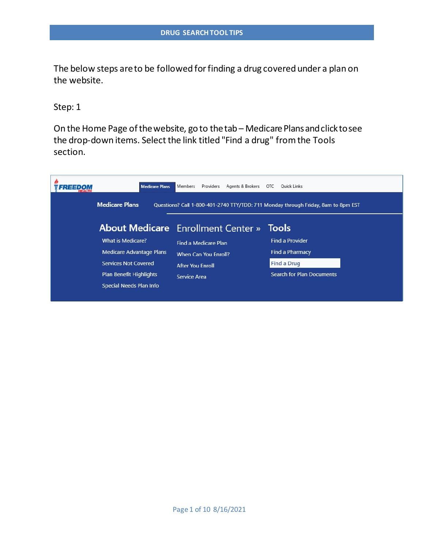The below steps areto be followed forfinding a drug covered under a plan on the website.

Step: 1

On the Home Page of the website, go to the tab – Medicare Plans and click to see the drop-down items. Select the link titled "Find a drug" from the Tools section.

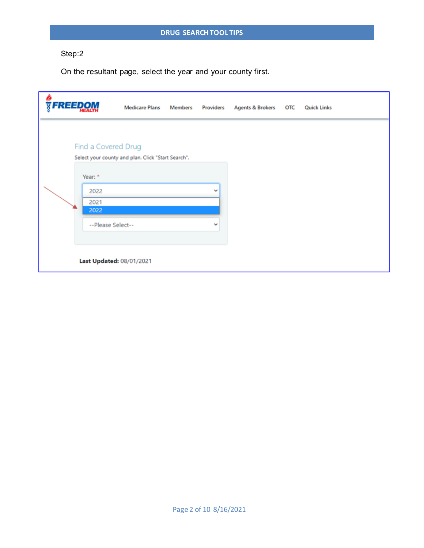On the resultant page, select the year and your county first.

| <b>FREEDOM</b>                                                              | <b>Medicare Plans</b>                              | <b>Members</b> | Providers                    | Agents & Brokers OTC | <b>Quick Links</b> |
|-----------------------------------------------------------------------------|----------------------------------------------------|----------------|------------------------------|----------------------|--------------------|
| Find a Covered Drug<br>Year: *<br>2022<br>2021<br>2022<br>--Please Select-- | Select your county and plan. Click "Start Search". |                | $\checkmark$<br>$\checkmark$ |                      |                    |
|                                                                             | Last Updated: 08/01/2021                           |                |                              |                      |                    |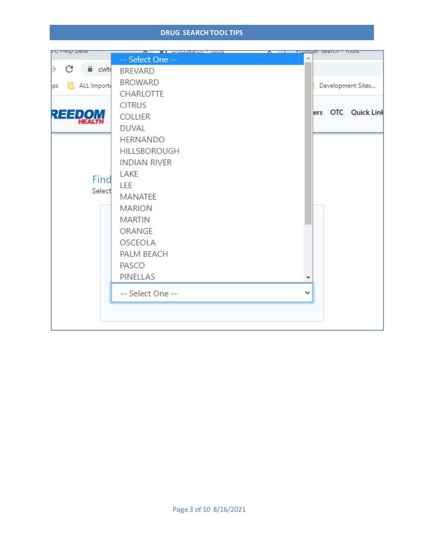#### **DRUG SEARCHTOOL TIPS**

| <b>IC HEID DESK</b> | A <b>THE ST PRODUCTION CONT</b> | A <b>Figyiger Search - 1001S</b> |  |                    |
|---------------------|---------------------------------|----------------------------------|--|--------------------|
|                     | -- Select One --                |                                  |  |                    |
| C<br>a cwto         | <b>BREVARD</b>                  |                                  |  |                    |
| ALL Importe<br>ps   | <b>BROWARD</b>                  |                                  |  | Development Sites  |
|                     | <b>CHARLOTTE</b>                |                                  |  |                    |
|                     | <b>CITRUS</b>                   |                                  |  |                    |
| <b>REEDOM</b>       | <b>COLLIER</b>                  |                                  |  | ers OTC Quick Link |
|                     | <b>DUVAL</b>                    |                                  |  |                    |
|                     | <b>HERNANDO</b>                 |                                  |  |                    |
|                     | <b>HILLSBOROUGH</b>             |                                  |  |                    |
|                     | <b>INDIAN RIVER</b>             |                                  |  |                    |
| Find                | LAKE                            |                                  |  |                    |
| Select              | <b>LEE</b>                      |                                  |  |                    |
|                     | <b>MANATEE</b>                  |                                  |  |                    |
|                     | <b>MARION</b>                   |                                  |  |                    |
|                     | <b>MARTIN</b>                   |                                  |  |                    |
|                     | ORANGE                          |                                  |  |                    |
|                     | <b>OSCEOLA</b>                  |                                  |  |                    |
|                     | <b>PALM BEACH</b>               |                                  |  |                    |
|                     | PASCO                           |                                  |  |                    |
|                     | <b>PINELLAS</b>                 |                                  |  |                    |
|                     | -- Select One --                | v                                |  |                    |
|                     |                                 |                                  |  |                    |
|                     |                                 |                                  |  |                    |
|                     |                                 |                                  |  |                    |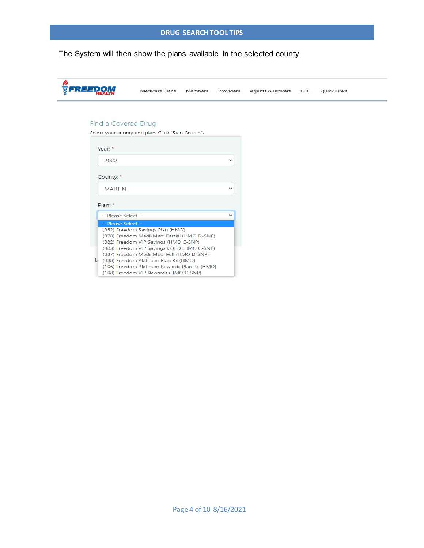The System will then show the plans available in the selected county.

| FREEDOI                | <b>Medicare Plans</b>                                                                                                                                                                                                                                                                                      | Members | Providers    | <b>Agents &amp; Brokers</b> | OTC | <b>Quick Links</b> |
|------------------------|------------------------------------------------------------------------------------------------------------------------------------------------------------------------------------------------------------------------------------------------------------------------------------------------------------|---------|--------------|-----------------------------|-----|--------------------|
| Find a Covered Drug    |                                                                                                                                                                                                                                                                                                            |         |              |                             |     |                    |
|                        | Select your county and plan. Click "Start Search".                                                                                                                                                                                                                                                         |         |              |                             |     |                    |
| Year: $*$              |                                                                                                                                                                                                                                                                                                            |         |              |                             |     |                    |
| 2022                   |                                                                                                                                                                                                                                                                                                            |         | $\checkmark$ |                             |     |                    |
| County: *              |                                                                                                                                                                                                                                                                                                            |         |              |                             |     |                    |
| <b>MARTIN</b>          |                                                                                                                                                                                                                                                                                                            |         | $\checkmark$ |                             |     |                    |
| Plan: *                |                                                                                                                                                                                                                                                                                                            |         |              |                             |     |                    |
| --Please Select--      |                                                                                                                                                                                                                                                                                                            |         | $\checkmark$ |                             |     |                    |
| --Please Select--<br>L | (052) Freedom Savings Plan (HMO)<br>(078) Freedom Medi-Medi Partial (HMO D-SNP)<br>(082) Freedom VIP Savings (HMO C-SNP)<br>(083) Freedom VIP Savings COPD (HMO C-SNP)<br>(087) Freedom Medi-Medi Full (HMO D-SNP)<br>(088) Freedom Platinum Plan Rx (HMO)<br>(106) Freedom Platinum Rewards Plan Rx (HMO) |         |              |                             |     |                    |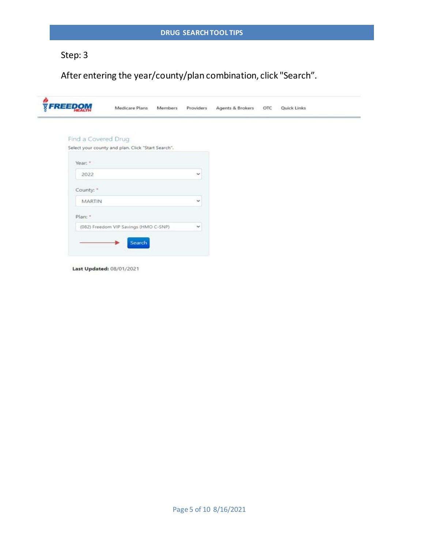After entering the year/county/plan combination, click "Search".

| <b>FREEDOM</b>      | Medicare Plans                                     | Members | Providers    | Agents & Brokers | OTC | <b>Quick Links</b> |  |
|---------------------|----------------------------------------------------|---------|--------------|------------------|-----|--------------------|--|
| Find a Covered Drug |                                                    |         |              |                  |     |                    |  |
|                     | Select your county and plan. Click "Start Search". |         |              |                  |     |                    |  |
| Year: *             |                                                    |         |              |                  |     |                    |  |
| 2022                |                                                    |         | $\checkmark$ |                  |     |                    |  |
| County: *           |                                                    |         |              |                  |     |                    |  |
| MARTIN              |                                                    |         | $\checkmark$ |                  |     |                    |  |
| Plan: *             |                                                    |         |              |                  |     |                    |  |
|                     | (082) Freedom VIP Savings (HMO C-SNP)              |         | $\checkmark$ |                  |     |                    |  |
|                     | Search                                             |         |              |                  |     |                    |  |

Last Updated: 08/01/2021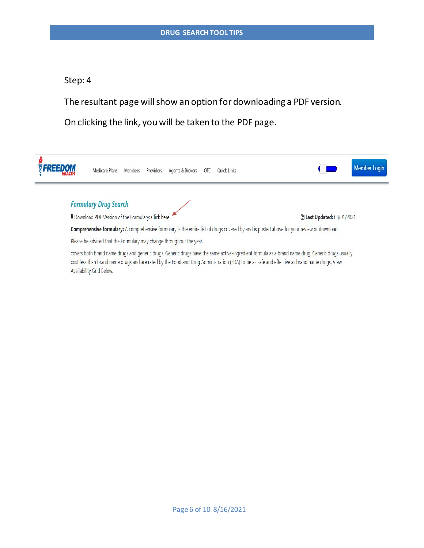The resultant page will show an option for downloading a PDF version.

On clicking the link, you will be taken to the PDF page.



covers both brand name drugs and generic drugs. Generic drugs have the same active-ingredient formula as a brand name drug. Generic drugs usually cost less than brand name drugs and are rated by the Food and Drug Administration (FDA) to be as safe and effective as brand name drugs. View Availability Grid Below.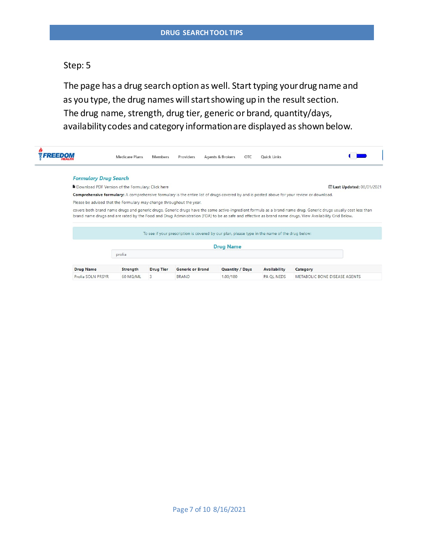The page has a drug search option as well. Start typing your drug name and as you type, the drug names will start showing up in the result section. The drug name, strength, drug tier, generic or brand, quantity/days, availability codes and category information are displayed as shown below.

|                              | <b>Medicare Plans</b>                                                | <b>Members</b>   | Providers               | Agents & Brokers                                                                               | OTC | <b>Quick Links</b>  |                                                                                                                                                                                                                                                                                                                             |
|------------------------------|----------------------------------------------------------------------|------------------|-------------------------|------------------------------------------------------------------------------------------------|-----|---------------------|-----------------------------------------------------------------------------------------------------------------------------------------------------------------------------------------------------------------------------------------------------------------------------------------------------------------------------|
| <b>Formulary Drug Search</b> |                                                                      |                  |                         |                                                                                                |     |                     |                                                                                                                                                                                                                                                                                                                             |
|                              | Download PDF Version of the Formulary: Click here                    |                  |                         |                                                                                                |     |                     | Last Updated: 08/01/2021                                                                                                                                                                                                                                                                                                    |
|                              |                                                                      |                  |                         |                                                                                                |     |                     | Comprehensive formulary: A comprehensive formulary is the entire list of drugs covered by and is posted above for your review or download.                                                                                                                                                                                  |
|                              | Please be advised that the Formulary may change throughout the year. |                  |                         |                                                                                                |     |                     |                                                                                                                                                                                                                                                                                                                             |
|                              |                                                                      |                  |                         |                                                                                                |     |                     | covers both brand name drugs and generic drugs. Generic drugs have the same active-ingredient formula as a brand name drug. Generic drugs usually cost less than<br>brand name drugs and are rated by the Food and Drug Administration (FDA) to be as safe and effective as brand name drugs. View Availability Grid Below. |
|                              |                                                                      |                  |                         | To see if your prescription is covered by our plan, please type in the name of the drug below: |     |                     |                                                                                                                                                                                                                                                                                                                             |
|                              |                                                                      |                  |                         | <b>Drug Name</b>                                                                               |     |                     |                                                                                                                                                                                                                                                                                                                             |
|                              | prolia                                                               |                  |                         |                                                                                                |     |                     |                                                                                                                                                                                                                                                                                                                             |
| <b>Drug Name</b>             | <b>Strength</b>                                                      | <b>Drug Tier</b> | <b>Generic or Brand</b> | <b>Quantity / Days</b>                                                                         |     | <b>Availability</b> | Category                                                                                                                                                                                                                                                                                                                    |
| Prolia SOLN PRSYR            | 60 MG/ML                                                             | 3                | <b>BRAND</b>            | 1.00/180                                                                                       |     | <b>PA OL NEDS</b>   | <b>METABOLIC BONE DISEASE AGENTS</b>                                                                                                                                                                                                                                                                                        |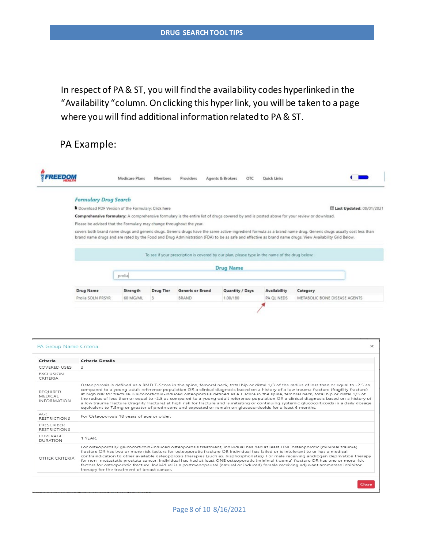In respect of PA & ST, you will find the availability codes hyperlinked in the "Availability "column. On clicking this hyper link, you will be taken to a page where youwill find additional information related to PA& ST.

## PA Example:

|                              | Medicare Plans                                                       | Members          | Providers                                                                                      | Agents & Brokers | OTC | Quick Links  |                                                                                                                                                                                                                                                                                                                             |
|------------------------------|----------------------------------------------------------------------|------------------|------------------------------------------------------------------------------------------------|------------------|-----|--------------|-----------------------------------------------------------------------------------------------------------------------------------------------------------------------------------------------------------------------------------------------------------------------------------------------------------------------------|
| <b>Formulary Drug Search</b> |                                                                      |                  |                                                                                                |                  |     |              |                                                                                                                                                                                                                                                                                                                             |
|                              | Download PDF Version of the Formulary: Click here                    |                  |                                                                                                |                  |     |              | <b>III Last Updated: 08/01/2021</b>                                                                                                                                                                                                                                                                                         |
|                              |                                                                      |                  |                                                                                                |                  |     |              | Comprehensive formulary: A comprehensive formulary is the entire list of drugs covered by and is posted above for your review or download.                                                                                                                                                                                  |
|                              | Please be advised that the Formulary may change throughout the year. |                  |                                                                                                |                  |     |              |                                                                                                                                                                                                                                                                                                                             |
|                              |                                                                      |                  |                                                                                                |                  |     |              | covers both brand name drugs and generic drugs. Generic drugs have the same active-ingredient formula as a brand name drug. Generic drugs usually cost less than<br>brand name drugs and are rated by the Food and Drug Administration (FDA) to be as safe and effective as brand name drugs. View Availability Grid Below. |
|                              |                                                                      |                  | To see if your prescription is covered by our plan, please type in the name of the drug below: |                  |     |              |                                                                                                                                                                                                                                                                                                                             |
|                              |                                                                      |                  |                                                                                                | <b>Drug Name</b> |     |              |                                                                                                                                                                                                                                                                                                                             |
|                              | prolia                                                               |                  |                                                                                                |                  |     |              |                                                                                                                                                                                                                                                                                                                             |
| Drug Name                    | Strength                                                             | <b>Drug Tier</b> | <b>Generic or Brand</b>                                                                        | Quantity / Days  |     | Availability | Category                                                                                                                                                                                                                                                                                                                    |

| Criteria                                         | <b>Criteria Details</b>                                                                                                                                                                                                                                                                                                                                                                                                                                                                                                                                                                                                                                                                                                                                                                                                                             |
|--------------------------------------------------|-----------------------------------------------------------------------------------------------------------------------------------------------------------------------------------------------------------------------------------------------------------------------------------------------------------------------------------------------------------------------------------------------------------------------------------------------------------------------------------------------------------------------------------------------------------------------------------------------------------------------------------------------------------------------------------------------------------------------------------------------------------------------------------------------------------------------------------------------------|
| COVERED USES                                     | 3                                                                                                                                                                                                                                                                                                                                                                                                                                                                                                                                                                                                                                                                                                                                                                                                                                                   |
| <b>EXCLUSION</b><br>CRITERIA                     |                                                                                                                                                                                                                                                                                                                                                                                                                                                                                                                                                                                                                                                                                                                                                                                                                                                     |
| <b>REQUIRED</b><br>MEDICAL<br><b>INFORMATION</b> | Osteoporosis is defined as a BMD T-Score in the spine, femoral neck, total hip or distal 1/3 of the radius of less than or equal to -2.5 as<br>compared to a young-adult reference population OR a clinical diagnosis based on a history of a low trauma fracture (fragility fracture)<br>at high risk for fracture. Glucocorticoid-induced osteoporosis defined as a T score in the spine, femoral neck, total hip or distal 1/3 of<br>the radius of less than or equal to -2.5 as compared to a young-adult reference population OR a clinical diagnosis based on a history of<br>a low trauma fracture (fragility fracture) at high risk for fracture and is initiating or continuing systemic glucocorticoids in a daily dosage<br>equivalent to 7.5mg or greater of prednisone and expected or remain on glucocorticoids for a least 6 months. |
| AGF<br><b>RESTRICTIONS</b>                       | For Osteoporosis 18 years of age or older.                                                                                                                                                                                                                                                                                                                                                                                                                                                                                                                                                                                                                                                                                                                                                                                                          |
| PRESCRIBER<br><b>RESTRICTIONS</b>                |                                                                                                                                                                                                                                                                                                                                                                                                                                                                                                                                                                                                                                                                                                                                                                                                                                                     |
| COVERAGE<br><b>DURATION</b>                      | 1 YFAR.                                                                                                                                                                                                                                                                                                                                                                                                                                                                                                                                                                                                                                                                                                                                                                                                                                             |
| OTHER CRITERIA                                   | For osteoporosis/ glucocorticoid-induced osteoporosis treatment, individual has had at least ONE osteoporotic (minimal trauma)<br>fracture OR has two or more risk factors for osteoporotic fracture OR Individual has failed or is intolerant to or has a medical<br>contraindication to other available osteoporosis therapies (such as, bisphosphonates). For male receiving androgen deprivation therapy<br>for non- metastatic prostate cancer, individual has had at least ONE osteoporotic (minimal trauma) fracture OR has one or more risk<br>factors for osteoporotic fracture. Individual is a postmenopausal (natural or induced) female receiving adjuvant aromatase inhibitor<br>therapy for the treatment of breast cancer.                                                                                                          |

#### Page 8 of 10 8/16/2021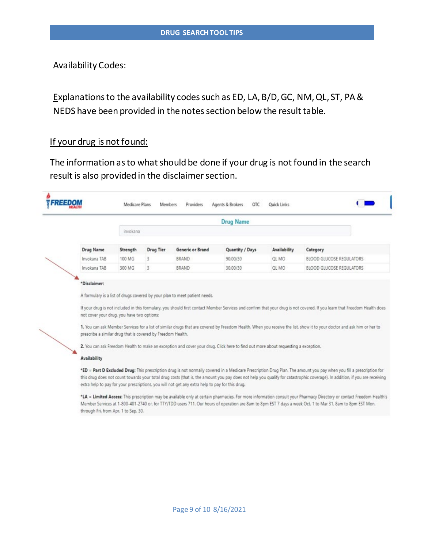## Availability Codes:

Explanations to the availability codes such as ED, LA, B/D, GC, NM, QL, ST, PA & NEDS have been provided in the notes section below the result table.

## If your drug is not found:

The information as to what should be done if your drug is not found in the search result is also provided in the disclaimer section.

|                                                                                                           |          |           |                                                                                                 | <b>Drug Name</b>                                                                                                                  |              |                                                                                                                                                                                                                                                                                                                                                     |
|-----------------------------------------------------------------------------------------------------------|----------|-----------|-------------------------------------------------------------------------------------------------|-----------------------------------------------------------------------------------------------------------------------------------|--------------|-----------------------------------------------------------------------------------------------------------------------------------------------------------------------------------------------------------------------------------------------------------------------------------------------------------------------------------------------------|
|                                                                                                           | invokana |           |                                                                                                 |                                                                                                                                   |              |                                                                                                                                                                                                                                                                                                                                                     |
| Drug Name                                                                                                 | Strength | Drug Tier | Generic or Brand                                                                                | Quantity / Days                                                                                                                   | Availability | Category                                                                                                                                                                                                                                                                                                                                            |
| Invokana TAB                                                                                              | 100 MG   | 3         | BRAND                                                                                           | 90.00/30                                                                                                                          | OL MO        | BLOOD GLUCOSE REGULATORS                                                                                                                                                                                                                                                                                                                            |
| Invokana TAB                                                                                              | 300 MG   | 3         | BRAND                                                                                           | 30.00/30                                                                                                                          | QL MO        | BLOOD GLUCOSE REGULATORS                                                                                                                                                                                                                                                                                                                            |
| not cover your drug, you have two options:<br>prescribe a similar drug that is covered by Freedom Health. |          |           | A formulary is a list of drugs covered by your plan to meet patient needs.                      |                                                                                                                                   |              | If your drug is not included in this formulary, you should first contact Member Services and confirm that your drug is not covered. If you learn that Freedom Health does<br>1. You can ask Member Services for a list of similar drugs that are covered by Freedom Health. When you receive the list, show it to your doctor and ask him or her to |
|                                                                                                           |          |           |                                                                                                 | 2. You can ask Freedom Health to make an exception and cover your drug. Click here to find out more about requesting a exception. |              |                                                                                                                                                                                                                                                                                                                                                     |
| <b>Availability</b>                                                                                       |          |           |                                                                                                 |                                                                                                                                   |              |                                                                                                                                                                                                                                                                                                                                                     |
|                                                                                                           |          |           | extra help to pay for your prescriptions, you will not get any extra help to pay for this drug. |                                                                                                                                   |              | *ED = Part D Excluded Drug: This prescription drug is not normally covered in a Medicare Prescription Drug Plan. The amount you pay when you fill a prescription for<br>this drug does not count towards your total drug costs (that is, the amount you pay does not help you qualify for catastrophic coverage). In addition, if you are receiving |